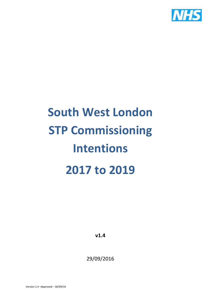

# **South West London STP Commissioning Intentions 2017 to 2019**

**v1.4**

29/09/2016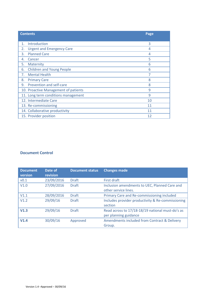|                             | <b>Contents</b>                      | Page |  |  |  |
|-----------------------------|--------------------------------------|------|--|--|--|
|                             |                                      |      |  |  |  |
| 1.                          | Introduction                         | 3    |  |  |  |
| 2.                          | <b>Urgent and Emergency Care</b>     | 4    |  |  |  |
| 3.                          | <b>Planned Care</b>                  | 4    |  |  |  |
| 4.                          | Cancer                               | 5    |  |  |  |
| 5.                          | <b>Maternity</b>                     | 6    |  |  |  |
| 6.                          | <b>Children and Young People</b>     | 6    |  |  |  |
| 7.                          | <b>Mental Health</b>                 |      |  |  |  |
| 8.                          | <b>Primary Care</b>                  | 8    |  |  |  |
| 9.                          | Prevention and self-care             | 8    |  |  |  |
|                             | 10. Proactive Management of patients | 9    |  |  |  |
|                             | 11. Long term conditions management  | 9    |  |  |  |
|                             | 12. Intermediate Care                | 10   |  |  |  |
| 13. Re-commissioning<br>11  |                                      |      |  |  |  |
|                             | 14. Collaborative productivity       | 11   |  |  |  |
| 15. Provider position<br>12 |                                      |      |  |  |  |

#### **Document Control**

| <b>Document</b><br>version | Date of<br>revision | <b>Document status</b> | <b>Changes made</b>                                                       |
|----------------------------|---------------------|------------------------|---------------------------------------------------------------------------|
| V <sub>0.1</sub>           | 23/09/2016          | <b>Draft</b>           | First draft                                                               |
| V1.0                       | 27/09/2016          | <b>Draft</b>           | Inclusion amendments to UEC, Planned Care and<br>other service lines.     |
| V1.1                       | 28/09/2016          | <b>Draft</b>           | Primary Care and Re-commissioning included                                |
| V1.2                       | 29/09/16            | <b>Draft</b>           | Includes provider productivity & Re-commissioning<br>section              |
| V1.3                       | 29/09/16            | <b>Draft</b>           | Read across to 17/18-18/19 national must-do's as<br>per planning guidance |
| V1.4                       | 30/09/16            | Approved               | Amendments included from Contract & Delivery<br>Group.                    |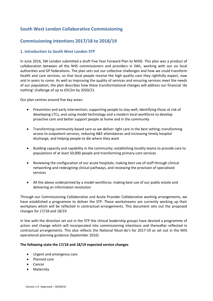## **South West London Collaborative Commissioning**

## **Commissioning intentions 2017/18 to 2018/19**

#### **1. Introduction to South West London STP**

In June 2016, SW London submitted a draft Five Year Forward Plan to NHSE. This plan was a product of collaboration between all the NHS commissioners and providers in SWL, working with our six local authorities and GP federations. The plan sets out our collective challenges and how we could transform health and care services, so that local people receive the high quality care they rightfully expect, now and in years to come. As well as improving the quality of services and ensuring services meet the needs of our population, the plan describes how these transformational changes will address our financial 'do nothing' challenge of up to £912m by 2020/21.

Our plan centres around five key areas:

- Prevention and early intervention; supporting people to stay well, identifying those at risk of developing LTCs, and using model technology and a modern local workforce to develop proactive care and better support people at home and in the community
- Transforming community based care so we deliver right care in the best setting; transforming access to outpatient services, reducing A&E attendances and increasing timely hospital discharge, and helping people to die where they want
- Building capacity and capability in the community; establishing locality teams to provide care to populations of at least 50,000 people and transforming primary care services
- Reviewing the configuration of our acute hospitals; making best use of staff through clinical networking and redesigning clinical pathways, and reviewing the provision of specialised services
- All the above underpinned by a model workforce, making best use of our public estate and delivering an information revolution

Through our Commissioning Collaborative and Acute Provider Collaborative working arrangements, we have established a programme to deliver the STP. These workstreams are currently working up their workplans which will be reflected in contractual arrangements. This document sets out the proposed changes for 17/18 and 18/19.

In line with the direction set out in the STP the clinical leadership groups have devised a programme of action and change which will incorporated into commissioning intentions and thereafter reflected in contractual arrangements. This also reflects the National Must-do's for 2017-19 as set out in the NHS operational planning guidance (September 2016)

#### **The following state the 17/18 and 18/19 expected service changes**

- Urgent and emergency care
- Planned care
- Cancer
- Maternity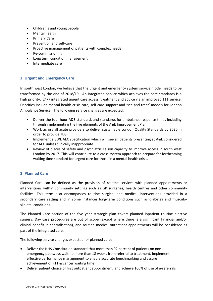- Children's and young people
- Mental health
- Primary Care
- Prevention and self-care
- Proactive management of patients with complex needs
- Re-commissioning
- Long term condition management
- Intermediate care

#### **2. Urgent and Emergency Care**

In south west London, we believe that the urgent and emergency system service model needs to be transformed by the end of 2018/19. An integrated service which achieves the core standards is a high priority. 24/7 integrated urgent care access, treatment and advice via an improved 111 service. Priorities include mental health crisis care, self-care support and 'see and treat' models for London Ambulance Service. The following service changes are expected:

- Deliver the four hour A&E standard, and standards for ambulance response times including through implementing the five elements of the A&E Improvement Plan.
- Work across all acute providers to deliver sustainable London Quality Standards by 2020 in order to provide 7DS
- Implement a SWL AEC specification which will see all patients presenting at A&E considered for AEC unless clinically inappropriate
- Review of places of safety and psychiatric liaison capacity to improve access in south west London by 2017. This will contribute to a cross-system approach to prepare for forthcoming waiting time standard for urgent care for those in a mental health crisis.

#### **3. Planned Care**

Planned Care can be defined as the provision of routine services with planned appointments or interventions within community settings such as GP surgeries, health centres and other community facilities. This term also encompasses routine surgical and medical interventions provided in a secondary care setting and in some instances long-term conditions such as diabetes and musculoskeletal conditions.

The Planned Care section of the five year strategic plan covers planned inpatient routine elective surgery. Day case procedures are out of scope (except where there is a significant financial and/or clinical benefit in centralisation), and routine medical outpatient appointments will be considered as part of the integrated care.

The following service changes expected for planned care:

- Deliver the NHS Constitution standard that more than 92 percent of patients on nonemergency pathways wait no more than 18 weeks from referral to treatment. Implement effective performance management to enable accurate benchmarking and assure achievement of RTT & cancer waiting time
- Deliver patient choice of first outpatient appointment, and achieve 100% of use of e-referrals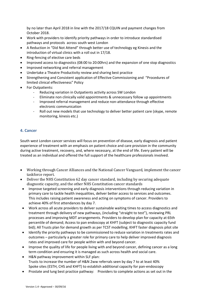by no later than April 2018 in line with the 2017/18 CQUIN and payment changes from October 2018.

- Work with providers to identify priority pathways in order to introduce standardised pathways and protocols across south west London
- A Reduction in "Did Not Attend" through better use of technology eg Kinesis and the introduction of virtual clinics with a roll out in 17/18.
- Ring-fencing of elective care beds
- Improved access to diagnostics (08:00 to 20:00hrs) and the expansion of one stop diagnostics
- Improved networking and referral management
- Undertake a Theatre Productivity review and sharing best practice
- Strengthening and Consistent application of Effective Commissioning and "Procedures of limited clinical effectiveness" Policy
- For Outpatients:
	- Reducing variation in Outpatients activity across SW London
	- Eliminate non clinically valid appointments & unnecessary follow up appointments
	- Improved referral management and reduce non-attendance through effective electronic communication
	- Roll out new models that use technology to deliver better patient care (skype, remote monitoring, kinesis etc.)

#### **4. Cancer**

South west London cancer services will focus on prevention of disease, early diagnosis and patient experience of treatment with an emphasis on patient choice and care provision in the community during active treatment, recovery, and, where necessary, at the end of life. Every patient will be treated as an individual and offered the full support of the healthcare professionals involved.

- Working through Cancer Alliances and the National Cancer Vanguard, implement the cancer taskforce report.
- Deliver the NHS Constitution 62 day cancer standard, including by securing adequate diagnostic capacity, and the other NHS Constitution cancer standards
- Improve targeted screening and early diagnosis interventions through reducing variation in primary care to tackle health inequalities, deliver better access to services and outcomes. This includes raising patient awareness and acting on symptoms of cancer. Providers to achieve 40% of first attendances by day 7.
- Work across all acute providers to deliver sustainable waiting times to access diagnostics and treatment through delivery of new pathways, (including "straight to test"), reviewing PRL processes and improving MDT arrangements. Providers to develop plan for capacity at 65th percentile of demand; Access to pan endoscopy at KHFT (subject to diagnostic capacity fund bid); All Trusts plan for demand growth as per TCST modelling; KHFT faster diagnosis pilot site
- Identify the priority pathways to be commissioned to reduce variation in treatments rates and outcomes – particularly a greater role for primary care to help deliver improved diagnosis rates and improved care for people within with and beyond cancer.
- Improve the quality of life for people living with and beyond cancer, defining cancer as a long term condition and ensuring it is managed as such across health and social care.
- H&N pathway improvement within SLF plan: Trusts to increase the number of H&N 2ww referrals seen by day 7 to at least 40% Spoke sites (ESTH, CHS and KHFT) to establish additional capacity for pan-endoscopy
- Prostate and lung best practice pathway: Providers to complete actions as set out in the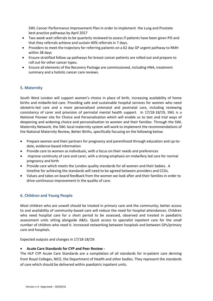SWL Cancer Performance Improvement Plan in order to implement the Lung and Prostate best practice pathways by April 2017

- Two week wait referrals to be quarterly reviewed to assess if patients have been given PIS and that they referrals achieve and sustain 40% referrals in 7 days.
- Providers to meet the trajectory for referring patients on a 62 day GP urgent pathway to RMH within 38 days
- Ensure stratified follow up pathways for breast cancer patients are rolled out and prepare to roll out for other cancer types.
- Ensure all elements of the Recovery Package are commissioned, including HNA, treatment summary and a holistic cancer care reviews.

#### **5. Maternity**

South West London will support women's choice in place of birth, increasing availability of home births and midwife-led care. Providing safe and sustainable hospital services for women who need obstetric-led care and a more personalised antenatal and postnatal care, including reviewing consistency of carer and provision of perinatal mental health support. In 17/18-18/19, SWL is a National Pioneer site for Choice and Personalisation which will enable us to test and trial ways of deepening and widening choice and personalisation to women and their families. Through the SWL Maternity Network, the SWL local maternity system will work to implement the recommendations of the National Maternity Review, Better Births, specifically focusing on the following below.

- Prepare women and their partners for pregnancy and parenthood through education and up-todate, evidence-based information
- Provide care to women as individuals, with a focus on their needs and preferences
- improve continuity of care and carer, with a strong emphasis on midwifery led care for normal pregnancy and birth
- Provide care which meets the London quality standards for all women and their babies. A timeline for achieving the standards will need to be agreed between providers and CCGs.
- Values and takes on board feedback from the women we look after and their families in order to drive continuous improvement in the quality of care.

#### **6. Children and Young People**

Most children who are unwell should be treated in primary care and the community; better access to and availability of community-based care will reduce the need for hospital attendances. Children who need hospital care for a short period to be assessed, observed and treated in paediatric assessment units sitting alongside A&Es. Quick access to specialist inpatient care for the small number of children who need it. Increased networking between hospitals and between GPs/primary care and hospitals.

Expected outputs and changes in 17/18-18/19:

#### **Acute Care Standards for CYP and Peer Review -**

The HLP CYP Acute Care Standards are a compilation of all standards for in-patient care deriving from Royal Colleges, NICE, the Department of Health and other bodies. They represent the standards of care which should be delivered within paediatric inpatient units.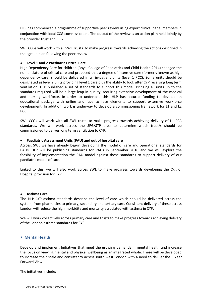HLP has commenced a programme of supportive peer review using expert clinical panel members in conjunction with local CCG commissioners. The output of the review is an action plan held jointly by the provider trust and CCG.

SWL CCGs will work with all SWL Trusts to make progress towards achieving the actions described in the agreed plan following the peer review

#### **Level 1 and 2 Paediatric Critical Care**

High Dependency Care for children (Royal College of Paediatrics and Child Health 2014) changed the nomenclature of critical care and proposed that a degree of intensive care (formerly known as high dependency care) should be delivered in all in-patient units (level 1 PCC). Some units should be designated as level 2 units providing level 1 care plus the ability to look after CYP receiving long term ventilation. HLP published a set of standards to support this model. Bringing all units up to the standards required will be a large leap in quality, requiring extensive development of the medical and nursing workforce. In order to undertake this, HLP has secured funding to develop an educational package with online and face to face elements to support extensive workforce development. In addition, work is underway to develop a commissioning framework for L1 and L2 PCC.

SWL CCGs will work with all SWL trusts to make progress towards achieving delivery of L1 PCC standards. We will work across the SPG/STP area to determine which trust/s should be commissioned to deliver long term ventilation to CYP.

#### **Paediatric Assessment Units (PAU) and out of hospital care**

Across, SWL we have already begun developing the model of care and operational standards for PAUs. HLP will be publishing standards for PAUs in September 2016 and we will explore the feasibility of implementation the PAU model against these standards to support delivery of our paediatric model of care.

Linked to this, we will also work across SWL to make progress towards developing the Out of Hospital provision for CYP.

#### **Asthma Care**

The HLP CYP asthma standards describe the level of care which should be delivered across the system, from pharmacies to primary, secondary and tertiary care. Consistent delivery of these across London will reduce the high morbidity and mortality associated with asthma in CYP.

We will work collectively across primary care and trusts to make progress towards achieving delivery of the London asthma standards for CYP.

#### **7. Mental Health**

Develop and implement Initiatives that meet the growing demands in mental health and increase the focus on viewing mental and physical wellbeing as an integrated whole. These will be developed to increase their scale and consistency across south west London with a need to deliver the 5 Year Forward View.

The initiatives include: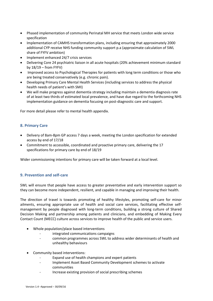- Phased implementation of community Perinatal MH service that meets London wide service specification
- Implementation of CAMHS transformation plans, including ensuring that approximately 2000 additional CYP receive NHS funding community support p.a (approximate calculation of SWL share of FYFV ambition)
- Implement enhanced 24/7 crisis services
- Delivering Core 24 psychiatric liaison in all acute hospitals (20% achievement minimum standard by  $18/19$  – from FYFV)
- Improved access to Psychological Therapies for patients with long term conditions or those who are being treated conservatively (e.g. chronic pain).
- Developing Primary Care Mental Health Services (including services to address the physical health needs of patient's with SMI)
- We will make progress against dementia strategy including maintain a dementia diagnosis rate of at least two thirds of estimated local prevalence, and have due regard to the forthcoming NHS implementation guidance on dementia focusing on post-diagnostic care and support.

For more detail please refer to mental health appendix.

#### **8. Primary Care**

- Delivery of 8am-8pm GP access 7 days a week, meeting the London specification for extended access by end of 17/18
- Commitment to accessible, coordinated and proactive primary care, delivering the 17 specifications for primary care by end of 18/19

Wider commissioning intentions for primary care will be taken forward at a local level.

#### **9. Prevention and self-care**

SWL will ensure that people have access to greater preventative and early intervention support so they can become more independent, resilient, and capable in managing and improving their health.

The direction of travel is towards promoting of healthy lifestyles, promoting self-care for minor ailments, ensuring appropriate use of health and social care services, facilitating effective selfmanagement by people diagnosed with long-term conditions, building a strong culture of Shared Decision Making and partnership among patients and clinicians, and embedding of Making Every Contact Count (MECC) culture across services to improve health of the public and service users.

- Whole population/place based interventions
	- integrated communications campaigns
	- common programmes across SWL to address wider determinants of health and unhealthy behaviours
- Community based interventions:
	- Expand use of health champions and expert patients
	- Implement Asset Based Community Development schemes to activate communities
	- Increase existing provision of social prescribing schemes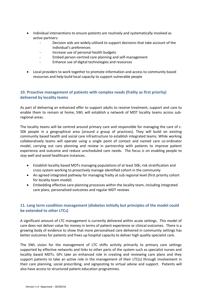- Individual interventions to ensure patients are routinely and systematically involved as active partners:
	- Decision aids are widely utilised to support decisions that take account of the individual's preferences
	- Increase use of personal health budgets
	- Embed person-centred care planning and self-management
	- Enhance use of digital technologies and resources
- Local providers to work together to promote information and access to community based resources and help build local capacity to support vulnerable people

### **10. Proactive management of patients with complex needs (frailty as first priority) delivered by locality teams**

As part of delivering an enhanced offer to support adults to receive treatment, support and care to enable them to remain at home, SWL will establish a network of MDT locality teams across subregional areas.

The locality teams will be centred around primary care and responsible for managing the care of c. 50k people in a geographical area (around a group of practices). They will build on existing community based health and social care infrastructure to establish integrated teams. While working collaboratively teams will operate using a single point of contact and named care co-ordinator model, carrying out care planning and review in partnership with patients to improve patient experience and outcome and reduce unscheduled care needs. The focus is on enabling people to stay well and avoid healthcare instances.

- Establish locality based MDTs managing populations of at least 50k; risk stratification and cross system working to proactively manage identified cohort in the community
- An agreed integrated pathway for managing frailty at sub regional level (first priority cohort for locality team model)
- Embedding effective care planning processes within the locality team, including integrated care plans, personalised outcomes and regular MDT reviews

## **11. Long term condition management (diabetes initially but principles of the model could be extended to other LTCs)**

A significant amount of LTC management is currently delivered within acute settings. This model of care does not deliver value for money in terms of patient experience or clinical outcomes. There is a growing body of evidence to show that more personalised care delivered in community settings has better outcomes for patients and frees up hospital capacity to deliver high quality specialist care.

The SWL vision for the management of LTC shifts activity primarily to primary care settings supported by effective networks and links to other parts of the system such as specialist nurses and locality based MDTs. GPs take an enhanced role in creating and reviewing care plans and they support patients to take an active role in the management of their LTC(s) through involvement in their care planning, social prescribing, and signposting to virtual advise and support. Patients will also have access to structured patient education programmes.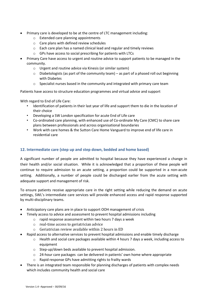- Primary care is developed to be at the centre of LTC management including:
	- o Extended care planning appointments
	- o Care plans with defined review schedules
	- o Each care plan has a named clinical lead and regular and timely reviews
	- o GPs have access to social prescribing for patients with LTCs
- Primary Care have access to urgent and routine advice to support patients to be managed in the community.
	- o Urgent and routine advice via Kinesis (or similar system)
	- $\circ$  Diabetologists (as part of the community team) as part of a phased roll out beginning with Diabetes
	- o Specialist nurses based in the community and integrated with primary care team

Patients have access to structure education programmes and virtual advice and support

With regard to End of Life Care:

- Identification of patients in their last year of life and support them to die in the location of their choice
- Developing a SW London specification for acute End of Life care
- Co-ordinated care planning, with enhanced use of Co-ordinate My Care (CMC) to share care plans between professionals and across organisational boundaries
- Work with care homes & the Sutton Care Home Vanguard to improve end of life care in residential care

#### **12. Intermediate care (step up and step down, bedded and home based)**

A significant number of people are admitted to hospital because they have experienced a change in their health and/or social situation. While it is acknowledged that a proportion of these people will continue to require admission to an acute setting, a proportion could be supported in a non-acute setting. Additionally, a number of people could be discharged earlier from the acute setting with adequate support and management of risk.

To ensure patients receive appropriate care in the right setting while reducing the demand on acute settings, SWL's intermediate care services will provide enhanced access and rapid response supported by multi-disciplinary teams.

- Anticipatory care plans are in place to support OOH management of crisis
- Timely access to advice and assessment to prevent hospital admissions including
	- o rapid response assessment within two hours 7 days a week
	- o real-time access to geriatrician advice
	- o Geriatrician review available within 2 hours in ED
- Rapid access to alternative services to prevent hospital admissions and enable timely discharge
	- o Health and social care packages available within 4 hours 7 days a week, including access to equipment
	- o Step-up/down beds available to prevent hospital admission.
	- $\circ$  24-hour care packages can be delivered in patients' own home where appropriate
	- o Rapid response GPs have admitting rights to frailty wards
- There is an integrated team responsible for planning discharges of patients with complex needs which includes community health and social care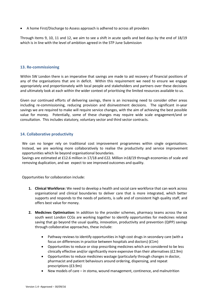A home First/Discharge to Assess approach is adhered to across all providers

Through items 9, 10, 11 and 12, we aim to see a shift in acute spells and bed days by the end of 18/19 which is in line with the level of ambition agreed in the STP June Submission

#### **13. Re-commissioning**

Within SW London there is an imperative that savings are made to aid recovery of financial positions of any of the organisations that are in deficit. Within this requirement we need to ensure we engage appropriately and proportionately with local people and stakeholders and partners over these decisions and ultimately look at each within the wider context of prioritising the limited resources available to us.

Given our continued efforts of delivering savings, there is an increasing need to consider other areas including re-commissioning, reducing provision and disinvestment decisions. The significant in-year savings we are required to make will require service changes, with the aim of achieving the best possible value for money. Potentially, some of these changes may require wide scale engagement/and or consultation. This includes statutory, voluntary sector and third sector contracts.

#### **14. Collaborative productivity**

We can no longer rely on traditional cost improvement programmes within single organisations. Instead, we are working more collaboratively to realise the productivity and service improvement opportunities which lie beyond organisational boundaries.

Savings are estimated at £12.6 million in 17/18 and £22. Million in18/19 through economies of scale and removing duplication, and we expect to see improved outcomes and quality.

Opportunities for collaboration include:

- **1. Clinical Workforce:** We need to develop a health and social care workforce that can work across organisational and clinical boundaries to deliver care that is more integrated, which better supports and responds to the needs of patients, is safe and of consistent high quality staff, and offers best value for money.
- **2. Medicines Optimisation:** In addition to the provider schemes, pharmacy teams across the six south west London CCGs are working together to identify opportunities for medicines related saving that go beyond the usual quality, innovation, productivity and prevention (QIPP) savings through collaborative approaches, these include:
	- Pathway reviews to identify opportunities in high cost drugs in secondary care (with a focus on differences in practice between hospitals and doctors) (£1m)
	- Opportunities to reduce or stop prescribing medicines which are considered to be less clinically effective and/or significantly more expensive than their alternatives (£2.9m)
	- Opportunities to reduce medicines wastage (particularly through changes in doctor, pharmacist and patient behaviours around ordering, dispensing, and repeat prescriptions (£3.9m)
	- New models of care in stoma, wound management, continence, and malnutrition